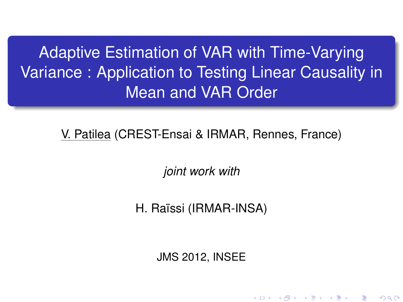Adaptive Estimation of VAR with Time-Varying Variance : Application to Testing Linear Causality in Mean and VAR Order

V. Patilea (CREST-Ensai & IRMAR, Rennes, France)

*joint work with*

H. Raïssi (IRMAR-INSA)

<span id="page-0-0"></span>JMS 2012, INSEE

K ロ K K @ K K B K K B K ( B K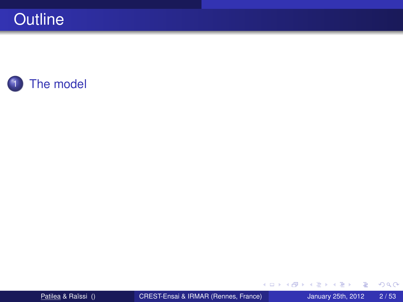

目

 $299$ 

イロトメ 倒 トメ 差 トメ 差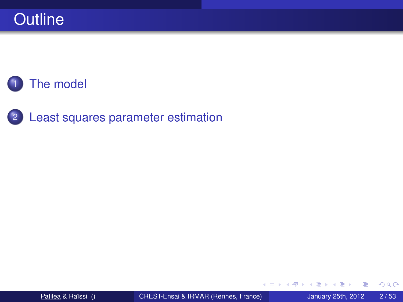2 [Least squares parameter estimation](#page-15-0)

4 0 8

 $\overline{\mathsf{m}}$   $\rightarrow$   $\rightarrow$ 

**B** K  $\prec$ э

×.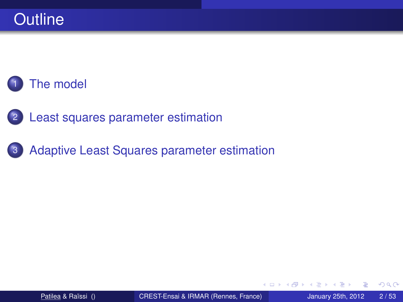2 [Least squares parameter estimation](#page-15-0)

3 [Adaptive Least Squares parameter estimation](#page-30-0)

4 0 8

AD 15

÷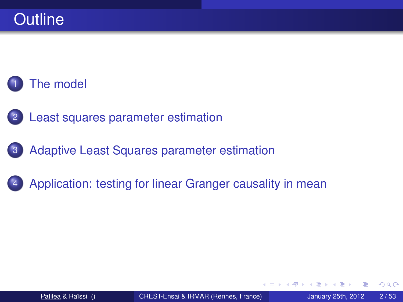2 [Least squares parameter estimation](#page-15-0)

3 [Adaptive Least Squares parameter estimation](#page-30-0)

### [Application: testing for linear Granger causality in mean](#page-48-0)

4 0 8

 $\Box$ 

つへへ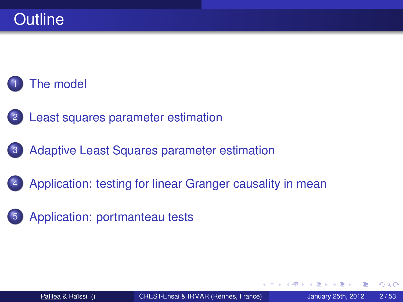- [Least squares parameter estimation](#page-15-0)
- 3 [Adaptive Least Squares parameter estimation](#page-30-0)
- [Application: testing for linear Granger causality in mean](#page-48-0)
- [Application: portmanteau tests](#page-71-0)

つへへ

4 同 下

4 0 8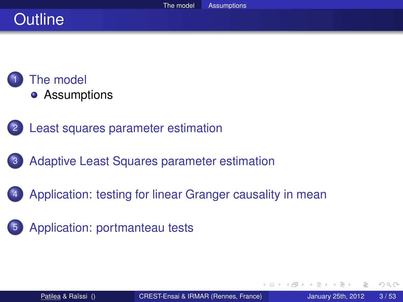# **Outline**



- [Least squares parameter estimation](#page-15-0)
- [Adaptive Least Squares parameter estimation](#page-30-0)
- [Application: testing for linear Granger causality in mean](#page-48-0)
- [Application: portmanteau tests](#page-71-0)

<span id="page-6-0"></span> $\Omega$ 

4 同 下

4 0 8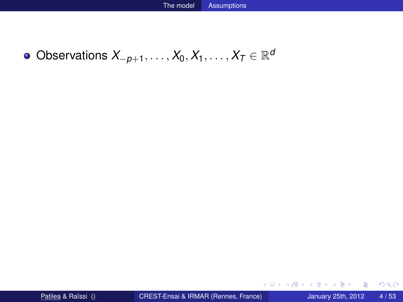$\mathsf{Observations}\ X_{-p+1},\ldots,X_0,X_1,\ldots,X_T\in\mathbb{R}^d$ 

重

 $299$ 

イロトメ 御 トメ 君 トメ 君 トッ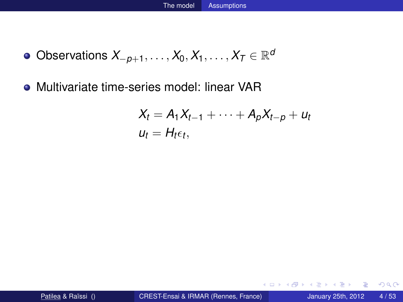- $\mathsf{Observations}\ X_{-p+1},\ldots,X_0,X_1,\ldots,X_T\in\mathbb{R}^d$
- Multivariate time-series model: linear VAR

$$
X_t = A_1 X_{t-1} + \cdots + A_p X_{t-p} + u_t
$$
  

$$
u_t = H_t \epsilon_t,
$$

E

 $299$ 

イロト イ押ト イヨト イヨ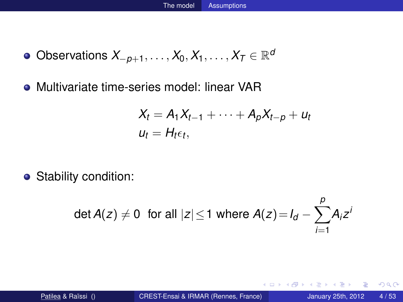- $\mathsf{Observations}\ X_{-p+1},\ldots,X_0,X_1,\ldots,X_T\in\mathbb{R}^d$
- Multivariate time-series model: linear VAR

$$
X_t = A_1 X_{t-1} + \cdots + A_p X_{t-p} + u_t
$$
  

$$
u_t = H_t \epsilon_t,
$$

• Stability condition:

$$
\det A(z) \neq 0 \text{ for all } |z| \leq 1 \text{ where } A(z) = I_d - \sum_{i=1}^p A_i z^i
$$

4 0 8 1  $\leftarrow$   $\leftarrow$   $\leftarrow$  Þ

 $299$ 

**Britished**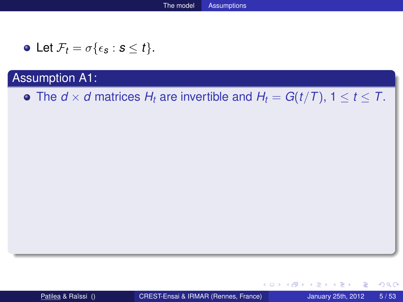• Let 
$$
\mathcal{F}_t = \sigma\{\epsilon_s : s \leq t\}.
$$

• The  $d \times d$  matrices  $H_t$  are invertible and  $H_t = G(t/T)$ ,  $1 \le t \le T$ .

重

 $298$ 

K ロ ▶ K 御 ▶ K 君 ▶ K 君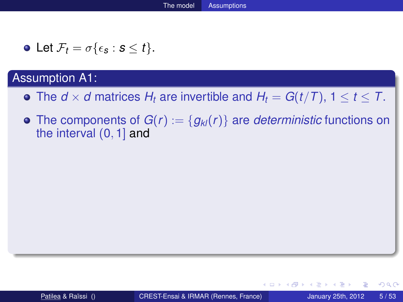• Let 
$$
\mathcal{F}_t = \sigma\{\epsilon_s : s \leq t\}
$$
.

- The  $d \times d$  matrices  $H_t$  are invertible and  $H_t = G(t/T)$ ,  $1 \le t \le T$ .
- The components of  $G(r) := \{g_{kl}(r)\}\$ are *deterministic* functions on the interval (0, 1] and

 $298$ 

イロト イ押ト イヨト イヨ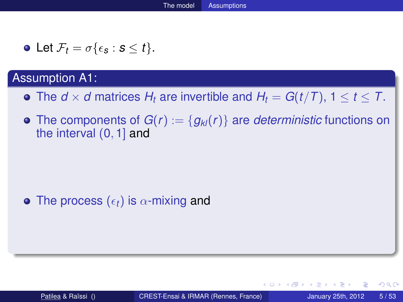• Let 
$$
\mathcal{F}_t = \sigma\{\epsilon_s : s \leq t\}.
$$

- The  $d \times d$  matrices  $H_t$  are invertible and  $H_t = G(t/T)$ ,  $1 \le t \le T$ .
- The components of  $G(r) := \{g_{kl}(r)\}\$ are *deterministic* functions on the interval (0, 1] and

### • The process  $(\epsilon_t)$  is  $\alpha$ -mixing and

. . . . . .

 $\Omega$ 

 $\leftarrow$   $\leftarrow$   $\leftarrow$ 

4 D.K.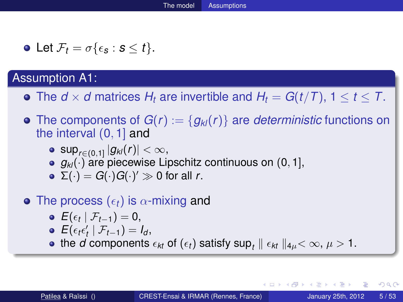• Let 
$$
\mathcal{F}_t = \sigma\{\epsilon_s : s \leq t\}
$$
.

- The  $d \times d$  matrices  $H_t$  are invertible and  $H_t = G(t/T)$ ,  $1 \le t \le T$ .
- The components of  $G(r) := \{g_{kl}(r)\}\$ are *deterministic* functions on the interval (0, 1] and
	- $\sup_{r\in(0,1]}|g_{\textit{kl}}(r)|<\infty,$
	- *g*<sub>k</sub> $(\cdot)$  are piecewise Lipschitz continuous on (0, 1],
	- $\Sigma(\cdot) = G(\cdot)G(\cdot)'\gg 0$  for all *r*.
- The process  $(\epsilon_t)$  is  $\alpha$ -mixing and
	- $E(\epsilon_t | \mathcal{F}_{t-1}) = 0,$
	- $E(\epsilon_t \epsilon'_t | \mathcal{F}_{t-1}) = I_d$ ,
	- the *d* components  $\epsilon_{kt}$  of  $(\epsilon_t)$  satisfy  $\sup_t \parallel \epsilon_{kt} \parallel_{4\mu} < \infty, \, \mu > 1.$

 $\Omega$ 

イロト イ押ト イヨト イヨト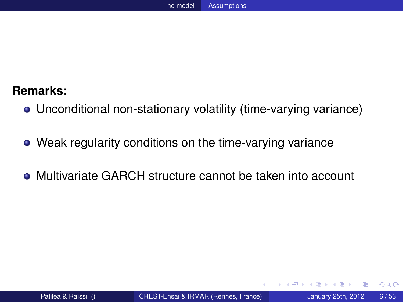- Unconditional non-stationary volatility (time-varying variance)
- Weak regularity conditions on the time-varying variance
- Multivariate GARCH structure cannot be taken into account

4 0 5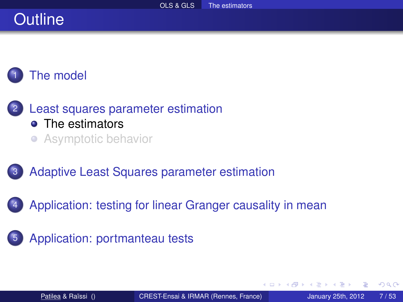# **Outline**

# [The model](#page-6-0)

- [Least squares parameter estimation](#page-15-0) • [The estimators](#page-15-0) **• [Asymptotic behavior](#page-21-0)**
- [Adaptive Least Squares parameter estimation](#page-30-0)
- [Application: testing for linear Granger causality in mean](#page-48-0)
- [Application: portmanteau tests](#page-71-0)

<span id="page-15-0"></span>A B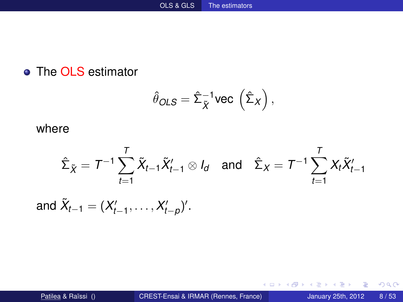### • The OLS estimator

$$
\hat{\theta}_{OLS} = \hat{\Sigma}_{\tilde{X}}^{-1} \text{vec} \left( \hat{\Sigma}_X \right),
$$

#### where

$$
\hat{\Sigma}_{\tilde{X}} = T^{-1}\sum_{t=1}^T \tilde{X}_{t-1}\tilde{X}_{t-1}' \otimes I_d \quad \text{and} \quad \hat{\Sigma}_X = T^{-1}\sum_{t=1}^T X_t\tilde{X}_{t-1}'
$$

and 
$$
\tilde{X}_{t-1} = (X'_{t-1}, \ldots, X'_{t-p})'
$$
.

重

 $299$ 

イロトメ 倒 トメ 差 トメ 差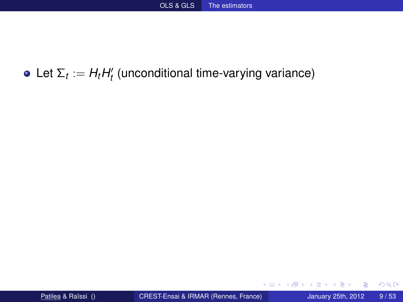## Let  $\Sigma_t := H_t H_t'$  (unconditional time-varying variance)

4 0 8 1

 $\leftarrow$   $\leftarrow$   $\leftarrow$   $\leftarrow$   $\leftarrow$ 

重す

重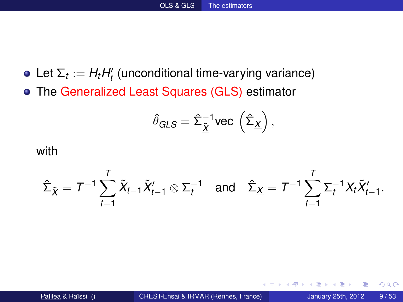- Let  $\Sigma_t := H_t H_t'$  (unconditional time-varying variance)
- The Generalized Least Squares (GLS) estimator

$$
\hat{\theta}_{GLS} = \hat{\Sigma}_{\underline{\tilde{X}}}^{-1} \text{vec} \left( \hat{\Sigma}_{\underline{X}} \right),
$$

#### with

$$
\hat{\Sigma}_{\underline{\tilde{X}}} = T^{-1} \sum_{t=1}^T \tilde{X}_{t-1} \tilde{X}_{t-1}' \otimes \Sigma_t^{-1} \quad \text{and} \quad \hat{\Sigma}_{\underline{X}} = T^{-1} \sum_{t=1}^T \Sigma_t^{-1} X_t \tilde{X}_{t-1}'.
$$

4 0 8

n n

E K.

Þ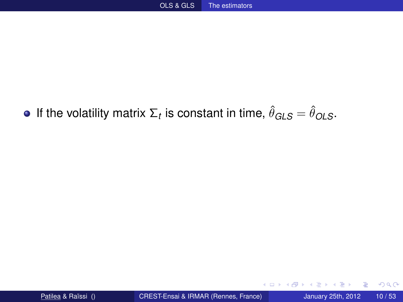## If the volatility matrix  $\Sigma_t$  is constant in time,  $\hat{\theta}_{GLS} = \hat{\theta}_{OLS}.$

4 0 8 1

 $\mathbf{A}$   $\mathbf{B}$   $\mathbf{B}$   $\mathbf{A}$   $\mathbf{B}$   $\mathbf{B}$ 

重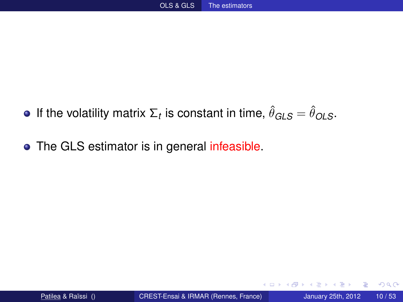- If the volatility matrix  $\Sigma_t$  is constant in time,  $\hat{\theta}_{GLS} = \hat{\theta}_{OLS}.$
- The GLS estimator is in general infeasible.

4 0 8

 $\leftarrow$   $\leftarrow$   $\leftarrow$   $\leftarrow$   $\leftarrow$ 

∋⇒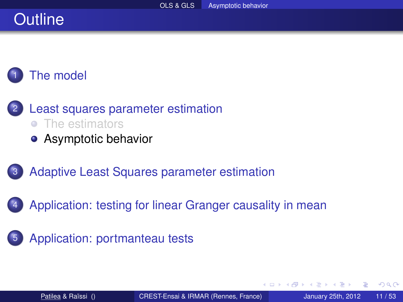# **Outline**

# [The model](#page-6-0)

- [Least squares parameter estimation](#page-15-0) • [The estimators](#page-15-0)
	- **•** [Asymptotic behavior](#page-21-0)
- [Adaptive Least Squares parameter estimation](#page-30-0)
- [Application: testing for linear Granger causality in mean](#page-48-0)
- [Application: portmanteau tests](#page-71-0)

4 0 8

<span id="page-21-0"></span>4 ଲ ⊧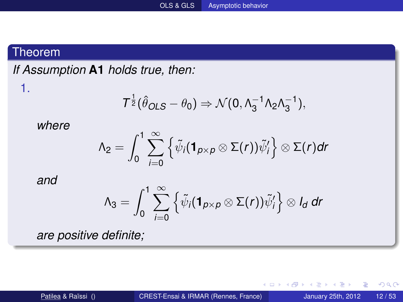#### Theorem

1.

*If Assumption* **A1** *holds true, then:*

$$
T^{\frac{1}{2}}(\hat{\theta}_{OLS} - \theta_0) \Rightarrow \mathcal{N}(0, \Lambda_3^{-1} \Lambda_2 \Lambda_3^{-1}),
$$

*where*

$$
\Lambda_2=\int_0^1\sum_{i=0}^\infty \left\{\tilde{\psi}_i(\mathbf{1}_{p\times p}\otimes \Sigma(r))\tilde{\psi}_i'\right\}\otimes \Sigma(r)dr
$$

*and*

$$
\Lambda_3=\int_0^1\sum_{i=0}^\infty \left\{\tilde{\psi}_i(\mathbf{1}_{p\times p}\otimes \Sigma(r))\tilde{\psi}'_i\right\}\otimes I_d\;dr
$$

*are positive definite;*

4 0 8 1

重

 $299$ 

 $A \cap \overline{B} \rightarrow A \Rightarrow A \Rightarrow A \Rightarrow$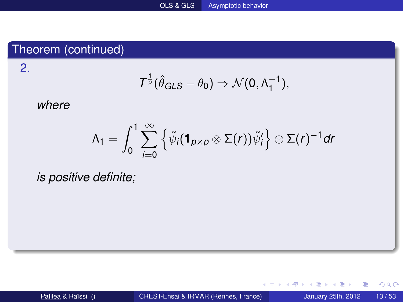### Theorem (continued)

2.

$$
T^{\frac{1}{2}}(\hat{\theta}_{GLS}-\theta_0)\Rightarrow \mathcal{N}(0,\Lambda_1^{-1}),
$$

#### *where*

$$
\Lambda_1=\int_0^1\sum_{i=0}^\infty \left\{\tilde{\psi}_i(\mathbf{1}_{p\times p}\otimes \Sigma(r))\tilde{\psi}_i'\right\}\otimes \Sigma(r)^{-1}dr
$$

*is positive definite;*

重

 $299$ 

K ロ ▶ K 御 ▶ K 君 ▶ K 君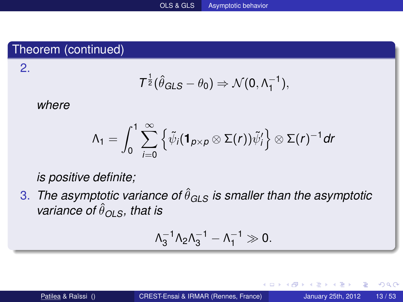### Theorem (continued)

$$
\mathcal{T}^{\frac{1}{2}}(\hat{\theta}_{GLS}-\theta_0)\Rightarrow \mathcal{N}(0,\Lambda_1^{-1}),
$$

#### *where*

2.

$$
\Lambda_1=\int_0^1\sum_{i=0}^\infty \left\{\tilde{\psi}_i(\mathbf{1}_{p\times p}\otimes \Sigma(r))\tilde{\psi}'_i\right\}\otimes \Sigma(r)^{-1}dr
$$

*is positive definite;*

3. *The asymptotic variance of*  $\hat{\theta}_{\text{GLS}}$  *is smaller than the asymptotic variance of*  $\hat{\theta}_{OLS}$ *, that is* 

$$
\Lambda_3^{-1} \Lambda_2 \Lambda_3^{-1} - \Lambda_1^{-1} \gg 0.
$$

4 0 8

4 F + 4 ∍ ∍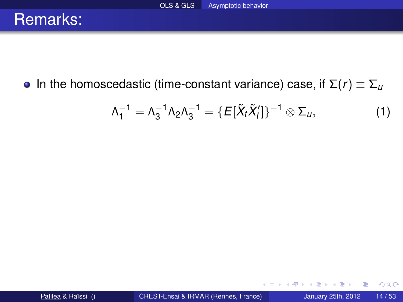**•** In the homoscedastic (time-constant variance) case, if  $\Sigma(r) \equiv \Sigma_u$ 

$$
\Lambda_1^{-1} = \Lambda_3^{-1} \Lambda_2 \Lambda_3^{-1} = \{ E[\tilde{X}_t \tilde{X}_t'] \}^{-1} \otimes \Sigma_u,
$$
 (1)

4 0 8

 $\mathbf{A}$   $\mathbf{B}$   $\mathbf{B}$   $\mathbf{A}$   $\mathbf{B}$   $\mathbf{B}$ 

∍

重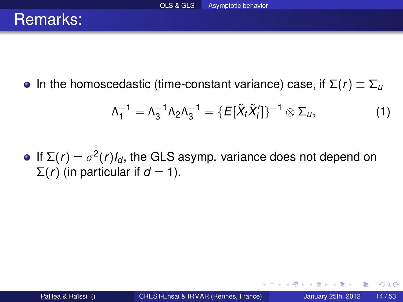**In the homoscedastic (time-constant variance) case, if**  $\Sigma(r) \equiv \Sigma_{\mu}$ 

$$
\Lambda_1^{-1} = \Lambda_3^{-1} \Lambda_2 \Lambda_3^{-1} = \{ E[\tilde{X}_t \tilde{X}_t'] \}^{-1} \otimes \Sigma_u,
$$
 (1)

4 17 18

4 f D → 4

If  $\Sigma(r) = \sigma^2(r)I_d$ , the GLS asymp. variance does not depend on  $\Sigma(r)$  (in particular if *d* = 1).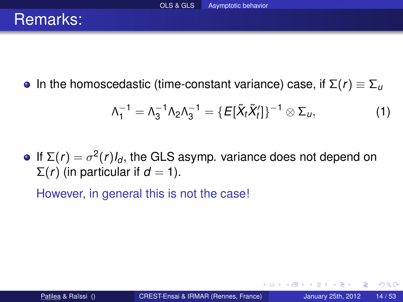**In the homoscedastic (time-constant variance) case, if**  $\Sigma(r) \equiv \Sigma_{\mu}$ 

$$
\Lambda_1^{-1} = \Lambda_3^{-1} \Lambda_2 \Lambda_3^{-1} = \{ E[\tilde{X}_t \tilde{X}_t'] \}^{-1} \otimes \Sigma_u,
$$
 (1)

If  $\Sigma(r) = \sigma^2(r)I_d$ , the GLS asymp. variance does not depend on  $\Sigma(r)$  (in particular if *d* = 1).

However, in general this is not the case!

4 f D → 4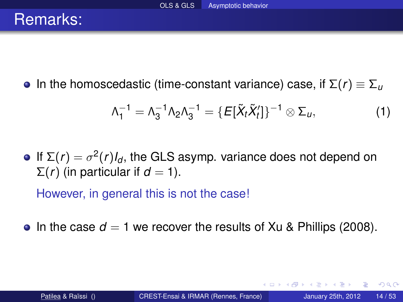**In the homoscedastic (time-constant variance) case, if**  $\Sigma(r) \equiv \Sigma_u$ 

$$
\Lambda_1^{-1} = \Lambda_3^{-1} \Lambda_2 \Lambda_3^{-1} = \{ E[\tilde{X}_t \tilde{X}_t'] \}^{-1} \otimes \Sigma_u,
$$
 (1)

If  $\Sigma(r) = \sigma^2(r)I_d$ , the GLS asymp. variance does not depend on  $\Sigma(r)$  (in particular if *d* = 1).

However, in general this is not the case!

• In the case  $d = 1$  we recover the results of Xu & Phillips (2008).

 $\Omega$ 

 $\leftarrow$   $\leftarrow$   $\leftarrow$   $\leftarrow$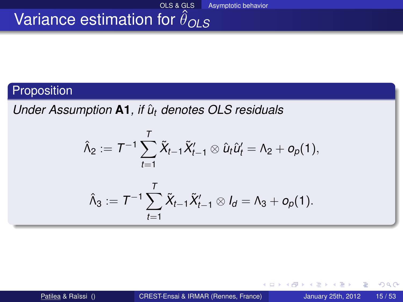### Proposition

*Under Assumption* **A1**, if  $\hat{u}_t$  denotes OLS residuals

$$
\hat{\Lambda}_2 := \mathcal{T}^{-1} \sum_{t=1}^T \tilde{X}_{t-1} \tilde{X}'_{t-1} \otimes \hat{u}_t \hat{u}'_t = \Lambda_2 + o_p(1),
$$

$$
\hat{\Lambda}_3:=T^{-1}\sum_{t=1}^T\tilde{X}_{t-1}\tilde{X}_{t-1}'\otimes I_d=\Lambda_3+o_p(1).
$$

4 0 8

n → 1

Þ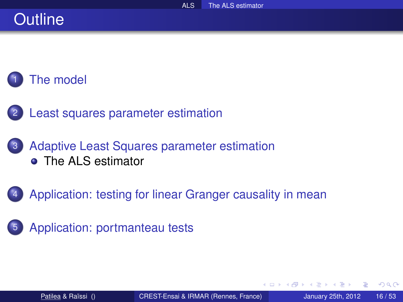# **Outline**



- [Least squares parameter estimation](#page-15-0)
- [Adaptive Least Squares parameter estimation](#page-30-0) **• [The ALS estimator](#page-30-0)**
- [Application: testing for linear Granger causality in mean](#page-48-0)
- [Application: portmanteau tests](#page-71-0)

4 0 8

<span id="page-30-0"></span>4 m →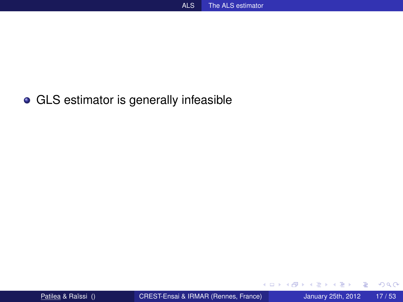#### GLS estimator is generally infeasible

4 0 8

4 同 下

 $\sim$ ∍  $\sim$  重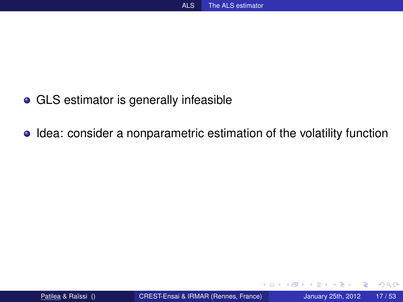- GLS estimator is generally infeasible
- Idea: consider a nonparametric estimation of the volatility function

4 0 8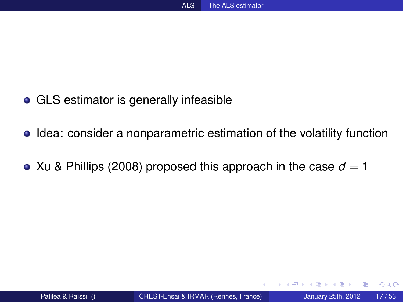- GLS estimator is generally infeasible
- **•** Idea: consider a nonparametric estimation of the volatility function
- Xu & Phillips (2008) proposed this approach in the case  $d = 1$

4 17 18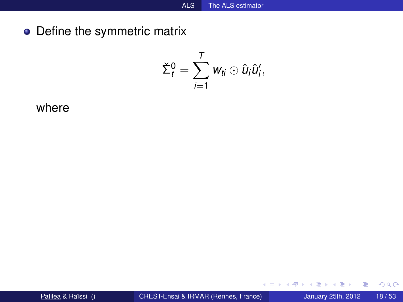• Define the symmetric matrix

$$
\check{\Sigma}_t^0 = \sum_{i=1}^T w_{ti} \odot \hat{u}_i \hat{u}'_i,
$$

where

重

 $299$ 

イロトメ 倒 トメ 差 トメ 差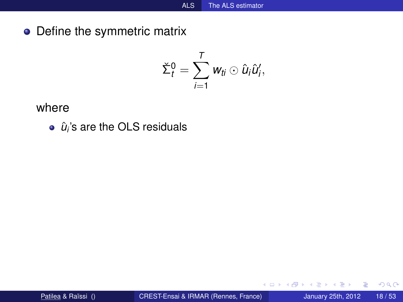Define the symmetric matrix

$$
\check{\Sigma}_t^0 = \sum_{i=1}^T w_{ti} \odot \hat{u}_i \hat{u}'_i,
$$

where

 $\hat{u}_i$ 's are the OLS residuals

4 0 8

 $\mathbf{A} \oplus \mathbf{B}$   $\mathbf{A} \oplus \mathbf{B}$ 

 $-4$ ∍ 重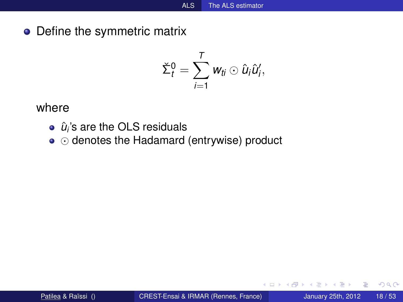• Define the symmetric matrix

$$
\check{\Sigma}_t^0 = \sum_{i=1}^T w_{ti} \odot \hat{u}_i \hat{u}'_i,
$$

where

- $\hat{u}_i$ 's are the OLS residuals
- $\bullet$   $\odot$  denotes the Hadamard (entrywise) product

4 0 8

A F -4 B +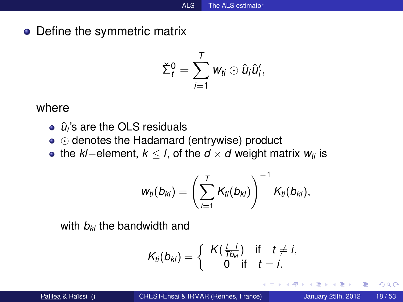• Define the symmetric matrix

$$
\check{\Sigma}_t^0 = \sum_{i=1}^T w_{ti} \odot \hat{u}_i \hat{u}'_i,
$$

#### where

- $\hat{u}_i$ 's are the OLS residuals
- $\bullet$   $\odot$  denotes the Hadamard (entrywise) product
- the *kl*−element, *k* ≤ *l*, of the *d* × *d* weight matrix *wti* is

$$
w_{ti}(b_{ki}) = \left(\sum_{i=1}^T K_{ti}(b_{ki})\right)^{-1} K_{ti}(b_{ki}),
$$

with  $b_k$  the bandwidth and

$$
\mathcal{K}_{ti}(b_{kl}) = \left\{\begin{array}{cc} \mathcal{K}(\frac{t-i}{\mathcal{I}b_{kl}}) & \text{if} \quad t \neq i, \\ 0 & \text{if} \quad t = i. \end{array}\right.
$$

4 0 8

**B** K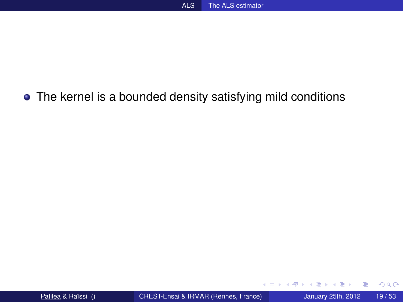#### The kernel is a bounded density satisfying mild conditions

4 0 8  $\leftarrow$   $\leftarrow$   $\leftarrow$ 

 $-4$ ∋⇒ 重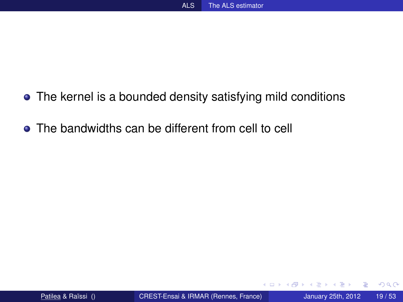- The kernel is a bounded density satisfying mild conditions
- The bandwidths can be different from cell to cell

4 0 8

 $\sim$ ∋⇒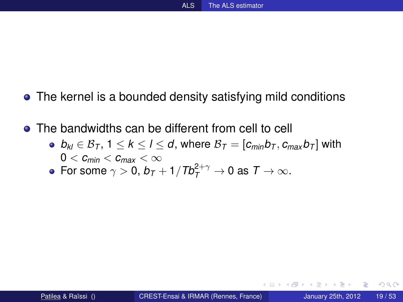- The kernel is a bounded density satisfying mild conditions
- The bandwidths can be different from cell to cell
	- $\bullet$  *b*<sub>*kl*</sub> ∈ B<sub>*T*</sub>, 1 ≤ *k* ≤ *l* ≤ *d*, where B<sub>*T*</sub> = [ $c_{min}$ *b<sub>T</sub></sub>*,  $c_{max}$ *b*<sub>*T*</sub>] with  $0 < c_{min} < c_{max} < \infty$
	- For some  $\gamma > 0$ ,  $b_T + 1/Tb_T^{2+\gamma} \to 0$  as  $T \to \infty$ .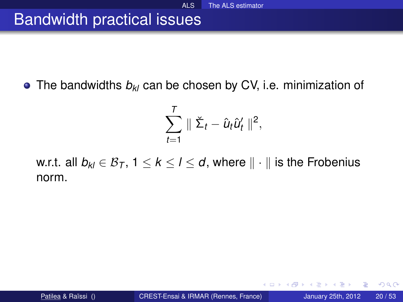### Bandwidth practical issues

• The bandwidths  $b_{kl}$  can be chosen by CV, i.e. minimization of

$$
\sum_{t=1}^T \parallel \check{\Sigma}_t - \hat{u}_t \hat{u}'_t \parallel^2,
$$

w.r.t. all  $b_{kl} \in B_T$ ,  $1 \le k \le l \le d$ , where  $\|\cdot\|$  is the Frobenius norm.

4 0 5

4 A + 4 E +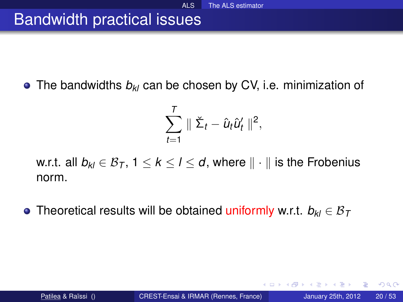### Bandwidth practical issues

**•** The bandwidths  $b_{kl}$  can be chosen by CV, i.e. minimization of

$$
\sum_{t=1}^T \parallel \check{\Sigma}_t - \hat{u}_t \hat{u}'_t \parallel^2,
$$

w.r.t. all  $b_{kl} \in B_T$ ,  $1 \le k \le l \le d$ , where  $\|\cdot\|$  is the Frobenius norm.

**•** Theoretical results will be obtained uniformly w.r.t.  $b_{kl}$  ∈  $B_{\tau}$ 

4 F + 4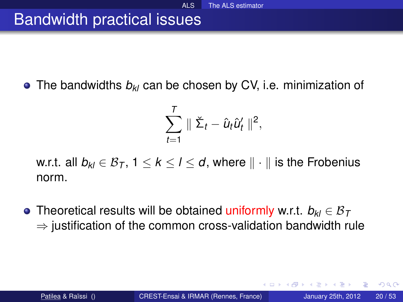### Bandwidth practical issues

**•** The bandwidths  $b_{kl}$  can be chosen by CV, i.e. minimization of

$$
\sum_{t=1}^T \parallel \check{\Sigma}_t - \hat{u}_t \hat{u}'_t \parallel^2,
$$

w.r.t. all  $b_{kl} \in B_T$ ,  $1 \le k \le l \le d$ , where  $\|\cdot\|$  is the Frobenius norm.

Theoretical results will be obtained uniformly w.r.t. *bkl* ∈ B*<sup>T</sup>*  $\Rightarrow$  iustification of the common cross-validation bandwidth rule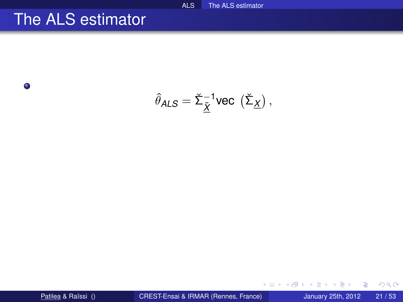### The ALS estimator

 $\bullet$ 

$$
\hat{\theta}_{\text{ALS}} = \check{\Sigma}_{\underline{\tilde{X}}}^{-1} \text{vec}\,\left(\check{\Sigma}_{\underline{X}}\right),
$$

**COLE** 

4 御 → 4 ミ →

 $\left( 1\right)$ 

活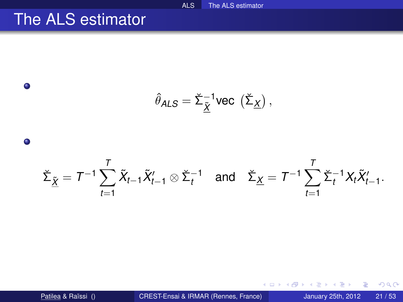## The ALS estimator



活

 $298$ 

イタト イミト イミトー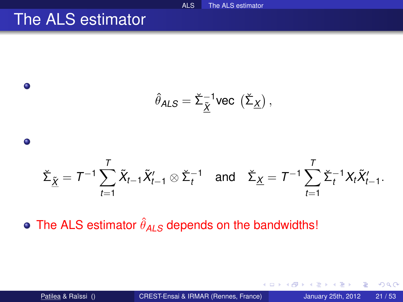## The ALS estimator

 $\bullet$ 

 $\bullet$ 

$$
\hat{\theta}_{\text{ALS}} = \check{\Sigma}_{\underline{\tilde{X}}}^{-1} \text{vec} \, \left( \check{\Sigma}_{\underline{X}} \right),
$$

#### $\check\Sigma_{\tilde \underline X} = {\mathcal T}^{-1} \sum$ *T t*=1  $\tilde{X}_{t-1}\tilde{X}_{t-1}'\otimes \check{\Sigma}_t^{-1}$  and  $\check{\Sigma}_{\underline{X}}=T^{-1}\sum_{i=1}^T\tilde{X}_i$ *T t*=1  $\check{\Sigma}_t^{-1} X_t \tilde{X}'_{t-1}$ .

The ALS estimator  $\hat{\theta}_{\textit{ALS}}$  depends on the bandwidths!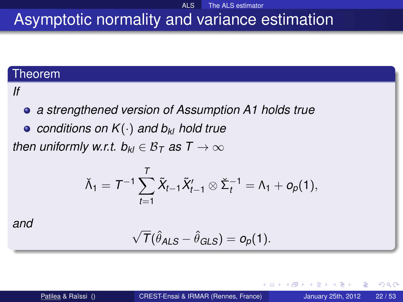#### ALS The ALS estimator Asymptotic normality and variance estimation

#### Theorem

#### *If*

*a strengthened version of Assumption A1 holds true*

*conditions on K*(·) *and bkl hold true*

*then uniformly w.r.t.*  $b_{kl} \in B_T$  *as*  $T \to \infty$ 

$$
\check{\Lambda}_1 = T^{-1} \sum_{t=1}^T \tilde{X}_{t-1} \tilde{X}'_{t-1} \otimes \check{\Sigma}_t^{-1} = \Lambda_1 + o_p(1),
$$

*and*

$$
\sqrt{T}(\hat{\theta}_{ALS} - \hat{\theta}_{GLS}) = o_p(1).
$$

Þ

 $\Omega$ 

 $\leftarrow$   $\leftarrow$   $\leftarrow$   $\leftarrow$   $\leftarrow$ 

**B** K -4 B

4 D.K.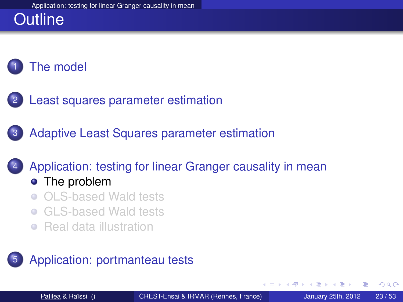# **Outline**



- [Least squares parameter estimation](#page-15-0)
- [Adaptive Least Squares parameter estimation](#page-30-0)

#### 4 [Application: testing for linear Granger causality in mean](#page-48-0)

#### • [The problem](#page-48-0)

- [OLS-based Wald tests](#page-55-0)
- [GLS-based Wald tests](#page-59-0)
- <span id="page-48-0"></span>**• [Real data illustration](#page-65-0)**

#### [Application: portmanteau tests](#page-71-0)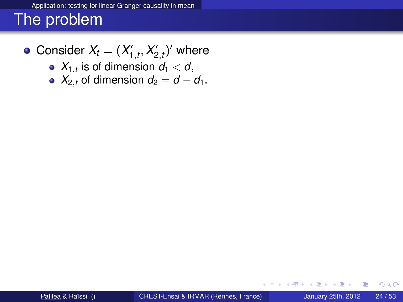Consider  $X_t = (X'_{1,t}, X'_{2,t})'$  where

- $X_{1,t}$  is of dimension  $d_1 < d$ ,
- $X_{2,t}$  of dimension  $d_2 = d d_1$ .

4 0 8

A > + 3 +

君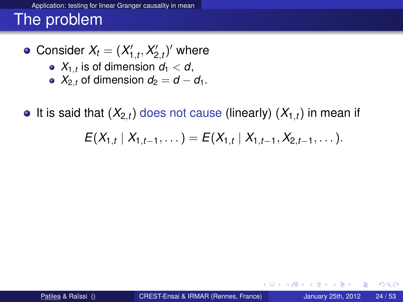Consider  $X_t = (X'_{1,t}, X'_{2,t})'$  where

- $X_{1,t}$  is of dimension  $d_1 < d$ ,
- $X_{2,t}$  of dimension  $d_2 = d d_1$ .

 $\bullet$  It is said that  $(X_{2,t})$  does not cause (linearly)  $(X_{1,t})$  in mean if

$$
E(X_{1,t} | X_{1,t-1}, \dots) = E(X_{1,t} | X_{1,t-1}, X_{2,t-1}, \dots).
$$

4 0 5

4 F + 4

つへへ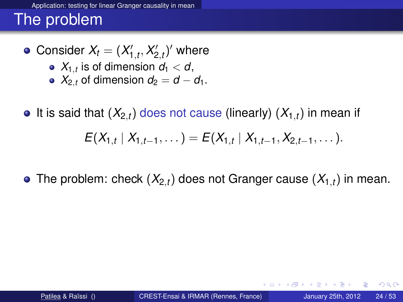Consider  $X_t = (X'_{1,t}, X'_{2,t})'$  where

- $X_{1,t}$  is of dimension  $d_1 < d$ ,
- $X_{2,t}$  of dimension  $d_2 = d d_1$ .
- $\bullet$  It is said that  $(X_{2,t})$  does not cause (linearly)  $(X_{1,t})$  in mean if  $E(X_{1,t} | X_{1,t-1}, \dots) = E(X_{1,t} | X_{1,t-1}, X_{2,t-1}, \dots).$
- The problem: check  $(X_{2,t})$  does not Granger cause  $(X_{1,t})$  in mean.

 $\Omega$ 

 $A \cap \overline{B} \rightarrow A \Rightarrow A \Rightarrow A \Rightarrow B$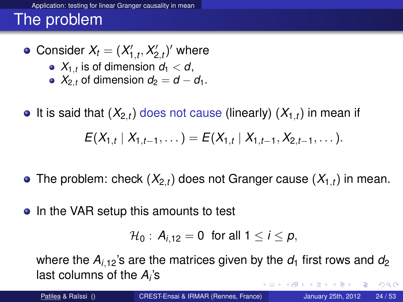- Consider  $X_t = (X'_{1,t}, X'_{2,t})'$  where
	- $X_{1,t}$  is of dimension  $d_1 < d$ ,
	- $X_{2,t}$  of dimension  $d_2 = d d_1$ .
- $\bullet$  It is said that  $(X_{2,t})$  does not cause (linearly)  $(X_{1,t})$  in mean if  $E(X_{1,t} | X_{1,t-1}, \dots) = E(X_{1,t} | X_{1,t-1}, X_{2,t-1}, \dots).$
- The problem: check  $(X_{2,t})$  does not Granger cause  $(X_{1,t})$  in mean.
- In the VAR setup this amounts to test

$$
\mathcal{H}_0: A_{i,12} = 0 \text{ for all } 1 \leq i \leq p,
$$

where the  $A_{i,12}$ 's are the matrices given by the  $d_1$  first rows and  $d_2$ last columns of the *A<sup>i</sup>* 's イロト イ押ト イヨト イヨ  $QQ$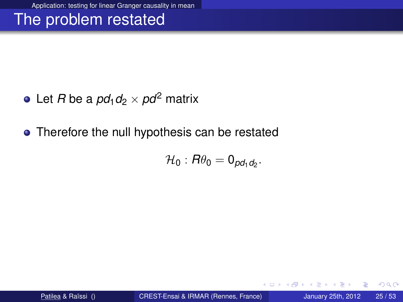### The problem restated

- Let *R* be a  $pd_1d_2 \times pd^2$  matrix
- Therefore the null hypothesis can be restated

$$
\mathcal{H}_0: R\theta_0 = \mathsf{0}_{\rho d_1 d_2}.
$$

4 17 18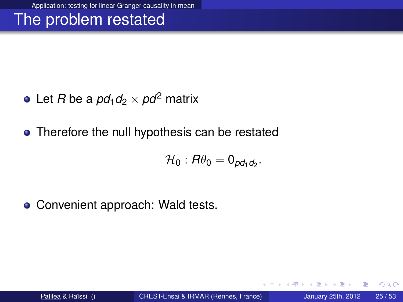### The problem restated

- Let *R* be a  $pd_1d_2 \times pd^2$  matrix
- Therefore the null hypothesis can be restated

$$
\mathcal{H}_0: R\theta_0 = 0_{\rho d_1 d_2}.
$$

• Convenient approach: Wald tests.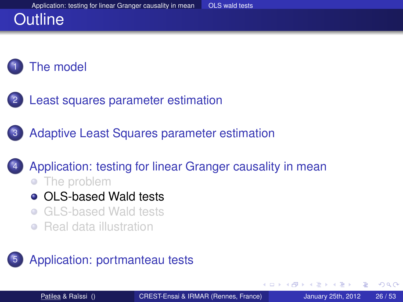# **Outline**



- [Least squares parameter estimation](#page-15-0)
- [Adaptive Least Squares parameter estimation](#page-30-0)

#### 4 [Application: testing for linear Granger causality in mean](#page-48-0)

- [The problem](#page-48-0)
- **o** [OLS-based Wald tests](#page-55-0)
- [GLS-based Wald tests](#page-59-0)
- <span id="page-55-0"></span>**• [Real data illustration](#page-65-0)**

#### [Application: portmanteau tests](#page-71-0)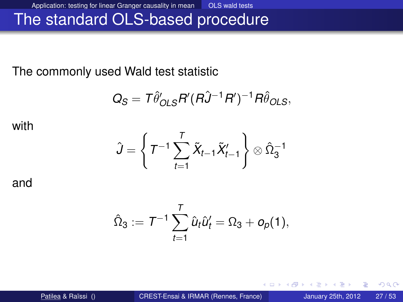Application: testing for linear Granger causality in mean **OLS** wald tests

## The standard OLS-based procedure

The commonly used Wald test statistic

$$
Q_S = T \hat{\theta}'_{OLS} R'(R \hat{J}^{-1} R')^{-1} R \hat{\theta}_{OLS},
$$

with

$$
\hat{J} = \left\{ T^{-1} \sum_{t=1}^{T} \tilde{X}_{t-1} \tilde{X}'_{t-1} \right\} \otimes \hat{\Omega}_3^{-1}
$$

and

$$
\hat{\Omega}_3:=\,\mathcal{T}^{-1}\sum_{t=1}^T\hat{\mathcal{U}}_t\hat{\mathcal{U}}_t'=\Omega_3+o_p(1),
$$

 $4.11 +$ 

∋⇒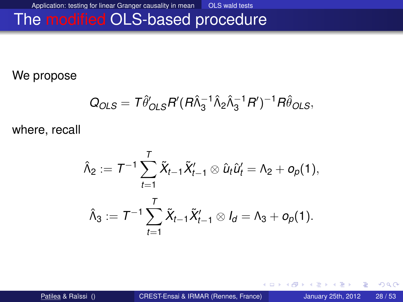Application: testing for linear Granger causality in mean **OLS** wald tests

## The modified OLS-based procedure

We propose

$$
Q_{OLS} = T\hat{\theta}_{OLS}' R'(R\hat{\lambda}_3^{-1}\hat{\lambda}_2 \hat{\lambda}_3^{-1}R')^{-1} R\hat{\theta}_{OLS},
$$

where, recall

$$
\begin{aligned}\n\hat{\Lambda}_2 &:= \mathcal{T}^{-1} \sum_{t=1}^T \tilde{X}_{t-1} \tilde{X}_{t-1}' \otimes \hat{u}_t \hat{u}_t' = \Lambda_2 + o_p(1), \\
\hat{\Lambda}_3 &:= \mathcal{T}^{-1} \sum_{t=1}^T \tilde{X}_{t-1} \tilde{X}_{t-1}' \otimes I_d = \Lambda_3 + o_p(1).\n\end{aligned}
$$

 $4.11 +$ 

× ∋⇒ 重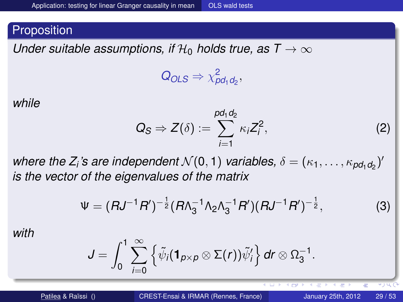*Under suitable assumptions, if*  $H_0$  *holds true, as T*  $\rightarrow \infty$ 

$$
Q_{OLS} \Rightarrow \chi^2_{pd_1d_2},
$$

*while*

$$
Q_S \Rightarrow Z(\delta) := \sum_{i=1}^{pd_1d_2} \kappa_i Z_i^2, \qquad (2)
$$

 $\overline{1}$ 

**+ DP** 

where the  $Z_i$ 's are independent  $\mathcal{N}(0,1)$  variables,  $\delta = (\kappa_1,\ldots,\kappa_{\textit{pd}_1\textit{d}_2})'$ *is the vector of the eigenvalues of the matrix*

$$
\Psi = (RJ^{-1}R')^{-\frac{1}{2}}(R\Lambda_3^{-1}\Lambda_2\Lambda_3^{-1}R')(RJ^{-1}R')^{-\frac{1}{2}}, \tag{3}
$$

*with*

$$
J=\int_0^1 \sum_{i=0}^\infty \left\{ \tilde{\psi}_i(\mathbf{1}_{p\times p}\otimes \Sigma(r))\tilde{\psi}'_i \right\} dr\otimes \Omega_3^{-1}.
$$

 $\vee$  ) Q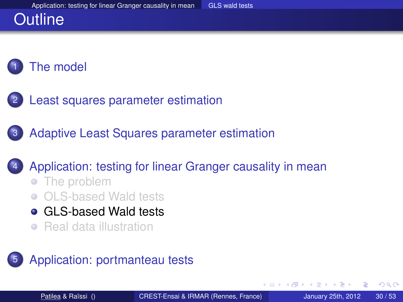# **Outline**



- [Least squares parameter estimation](#page-15-0)
- [Adaptive Least Squares parameter estimation](#page-30-0)

#### 4 [Application: testing for linear Granger causality in mean](#page-48-0)

- [The problem](#page-48-0)
- [OLS-based Wald tests](#page-55-0)
- **Cal S-based Wald tests**
- <span id="page-59-0"></span>**• [Real data illustration](#page-65-0)**

#### [Application: portmanteau tests](#page-71-0)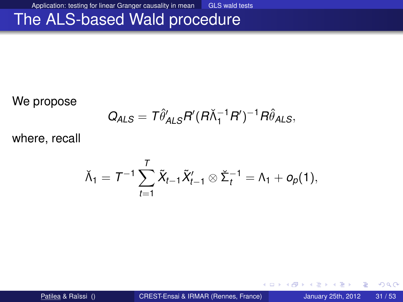Application: testing for linear Granger causality in mean GLS wald tests

### The ALS-based Wald procedure

We propose

$$
Q_{ALS} = T \hat{\theta}'_{ALS} R'(R\check{\Lambda}_1^{-1}R')^{-1} R \hat{\theta}_{ALS},
$$

where, recall

$$
\check{\Lambda}_1 = T^{-1}\sum_{t=1}^T \tilde{X}_{t-1}\tilde{X}_{t-1}' \otimes \check{\Sigma}_t^{-1} = \Lambda_1 + o_p(1),
$$

Patilea & Raïssi () **[CREST-Ensai & IRMAR \(Rennes, France\)](#page-0-0)** January 25th, 2012 31/53

4 0 8

A F

∋⇒

э

重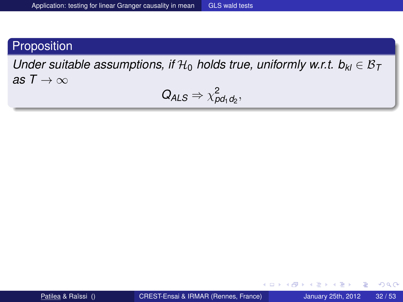*Under suitable assumptions, if*  $H_0$  *holds true, uniformly w.r.t.*  $b_{kl} \in B_T$ *as*  $T \rightarrow \infty$ 

$$
Q_{ALS} \Rightarrow \chi^2_{pd_1d_2},
$$

活

 $298$ 

イロト イ押ト イヨト イヨ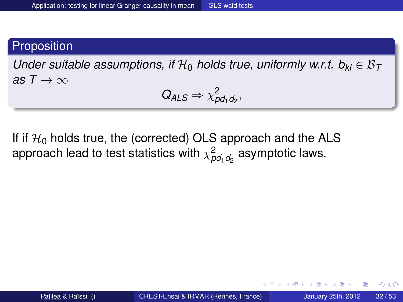*Under suitable assumptions, if*  $H_0$  *holds true, uniformly w.r.t.*  $b_{kl} \in B_T$ *as*  $T \rightarrow \infty$ 

 $Q_{ALS} \Rightarrow \chi^2_{pd_1d_2},$ 

If if  $\mathcal{H}_0$  holds true, the (corrected) OLS approach and the ALS approach lead to test statistics with  $\chi^2_{\rho d_1 d_2}$  asymptotic laws.

4 D.K.

4 F + 4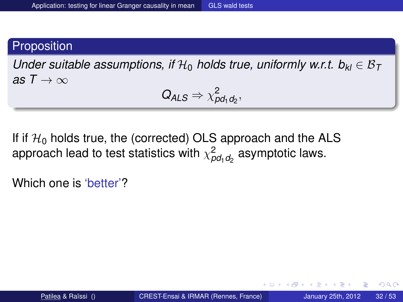*Under suitable assumptions, if*  $H_0$  *holds true, uniformly w.r.t.*  $b_{kl} \in B_T$ *as*  $T \rightarrow \infty$ 

 $Q_{ALS} \Rightarrow \chi^2_{pd_1d_2},$ 

If if  $\mathcal{H}_0$  holds true, the (corrected) OLS approach and the ALS approach lead to test statistics with  $\chi^2_{\rho d_1 d_2}$  asymptotic laws.

Which one is 'better'?

4 0 8

 $\leftarrow$   $\leftarrow$   $\leftarrow$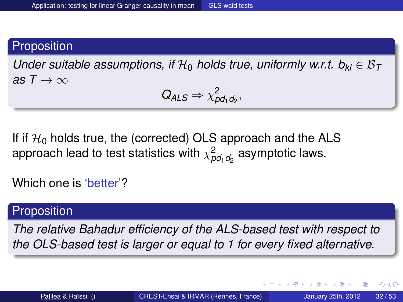*Under suitable assumptions, if*  $H_0$  *holds true, uniformly w.r.t.*  $b_{kl} \in B_T$ *as*  $T \rightarrow \infty$ 

 $Q_{ALS} \Rightarrow \chi^2_{pd_1d_2},$ 

If if  $\mathcal{H}_0$  holds true, the (corrected) OLS approach and the ALS approach lead to test statistics with  $\chi^2_{\rho d_1 d_2}$  asymptotic laws.

Which one is 'better'?

#### **Proposition**

*The relative Bahadur efficiency of the ALS-based test with respect to the OLS-based test is larger or equal to 1 for every fixed alternative.*

в

 $\Omega$ 

イロト イ押ト イヨト イヨトー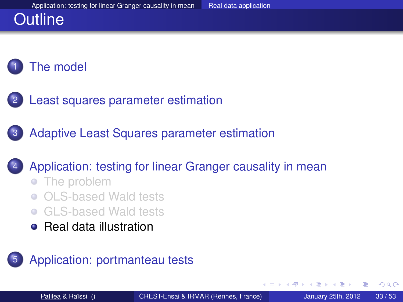# **Outline**

# [The model](#page-6-0)

- [Least squares parameter estimation](#page-15-0)
- [Adaptive Least Squares parameter estimation](#page-30-0)

#### 4 [Application: testing for linear Granger causality in mean](#page-48-0)

- [The problem](#page-48-0)
- [OLS-based Wald tests](#page-55-0)
- **[GLS-based Wald tests](#page-59-0)**
- **[Real data illustration](#page-65-0)**

#### [Application: portmanteau tests](#page-71-0)

<span id="page-65-0"></span>A F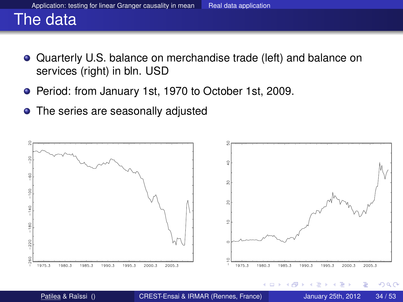## The data

- Quarterly U.S. balance on merchandise trade (left) and balance on services (right) in bln. USD
- Period: from January 1st, 1970 to October 1st, 2009.
- The series are seasonally adjusted

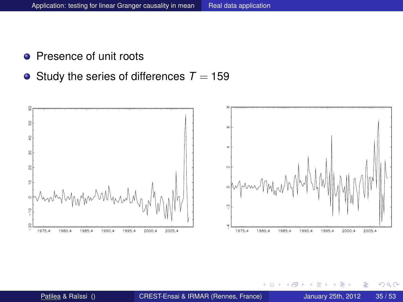- **•** Presence of unit roots
- $\bullet$  Study the series of differences  $T = 159$



4 0 8

4 F  $\sim$ ∍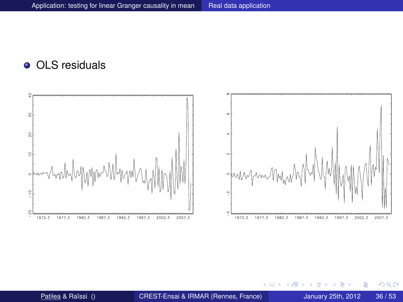#### • OLS residuals



重

 $299$ 

E K  $\mathcal{A}$  .

 $\sim$ 

(ロ) (伊)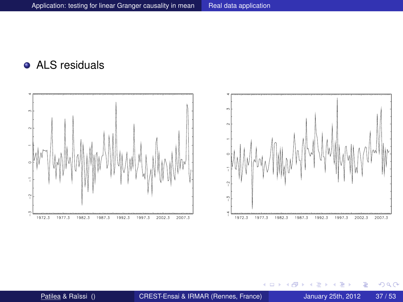#### **•** ALS residuals



重

 $299$ 

一 三

**K ロ ⊁ K 倒 ≯ K ミ ≯**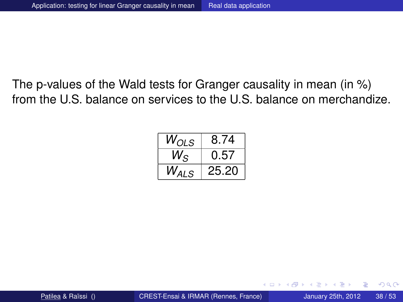The p-values of the Wald tests for Granger causality in mean (in %) from the U.S. balance on services to the U.S. balance on merchandize.

| $W_{OLS}$   | 8.74  |
|-------------|-------|
| $W_{\rm S}$ | 0.57  |
| $W_{ALS}$   | 25.20 |

4 0 5

E.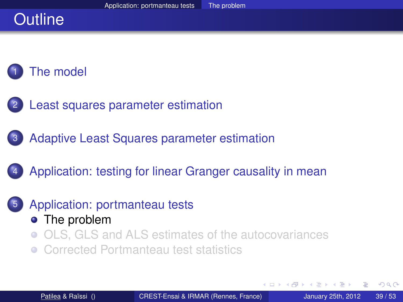# **Outline**

## [The model](#page-6-0)

- [Least squares parameter estimation](#page-15-0)
- [Adaptive Least Squares parameter estimation](#page-30-0)
- [Application: testing for linear Granger causality in mean](#page-48-0)
- [Application: portmanteau tests](#page-71-0) • [The problem](#page-71-0)
	- [OLS, GLS and ALS estimates of the autocovariances](#page-77-0)
	- [Corrected Portmanteau test statistics](#page-91-0)

<span id="page-71-0"></span> $\leftarrow$   $\Box$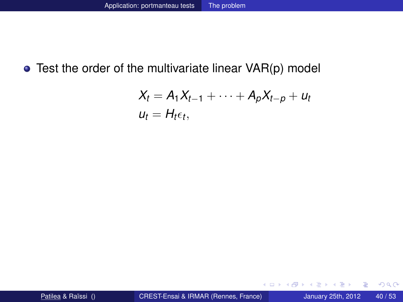#### Test the order of the multivariate linear VAR(p) model

$$
X_t = A_1 X_{t-1} + \cdots + A_p X_{t-p} + u_t
$$
  

$$
u_t = H_t \epsilon_t,
$$

活

 $299$ 

イロト イ押ト イヨト イヨ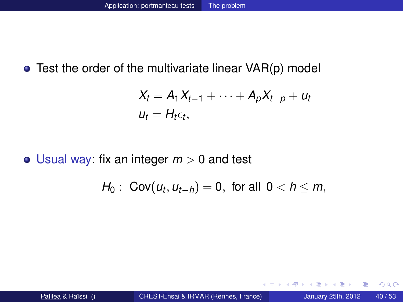• Test the order of the multivariate linear VAR(p) model

$$
X_t = A_1 X_{t-1} + \cdots + A_p X_{t-p} + u_t
$$
  

$$
u_t = H_t \epsilon_t,
$$

 $\bullet$  Usual way: fix an integer  $m > 0$  and test

$$
H_0: \ Cov(u_t, u_{t-h}) = 0, \text{ for all } 0 < h \leq m,
$$

4 0 8

4 ଲ ⊧

 $\rightarrow$   $\equiv$   $\rightarrow$   $\rightarrow$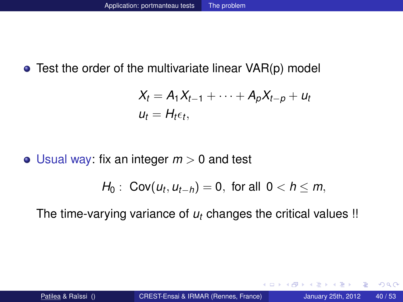• Test the order of the multivariate linear VAR(p) model

$$
X_t = A_1 X_{t-1} + \cdots + A_p X_{t-p} + u_t
$$
  

$$
u_t = H_t \epsilon_t,
$$

 $\bullet$  Usual way: fix an integer  $m > 0$  and test

$$
H_0: \ Cov(u_t, u_{t-h}) = 0, \text{ for all } 0 < h \leq m,
$$

The time-varying variance of  $u_t$  changes the critical values !!

4 0 5

A R

E.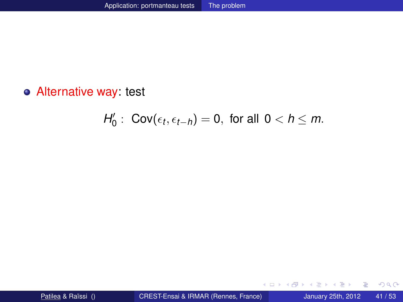Alternative way: test

$$
H_0': \text{ Cov}(\epsilon_t,\epsilon_{t-h})=0, \text{ for all } 0
$$

重

 $299$ 

イロト イ部 トイモト イモト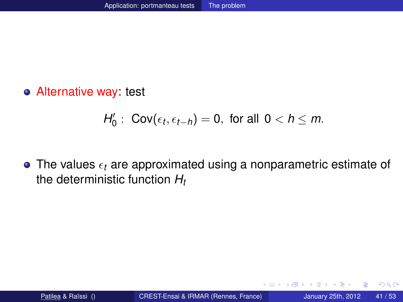Alternative way: test

$$
H_0': \text{ Cov}(\epsilon_t,\epsilon_{t-h})=0, \text{ for all } 0
$$

 $\bullet$  The values  $\epsilon_t$  are approximated using a nonparametric estimate of the deterministic function *H<sup>t</sup>*

4 0 8

A F ÷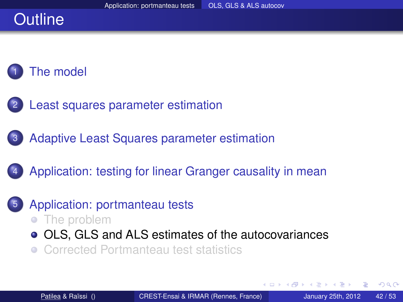# **Outline**

#### [The model](#page-6-0)

- [Least squares parameter estimation](#page-15-0)
- [Adaptive Least Squares parameter estimation](#page-30-0)
- [Application: testing for linear Granger causality in mean](#page-48-0)
- <span id="page-77-0"></span>[Application: portmanteau tests](#page-71-0)
	- [The problem](#page-71-0)
	- [OLS, GLS and ALS estimates of the autocovariances](#page-77-0)
	- [Corrected Portmanteau test statistics](#page-91-0)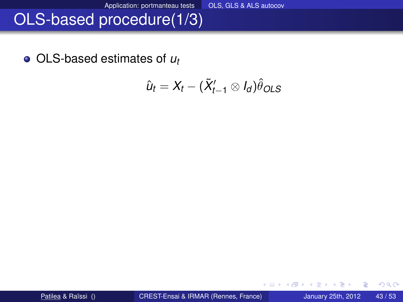# OLS-based procedure(1/3)

OLS-based estimates of *u<sup>t</sup>*

$$
\hat{u}_t = X_t - (\tilde{X}'_{t-1} \otimes I_d)\hat{\theta}_{OLS}
$$

4 0 8

活

 $299$ 

 $\mathbf{A} \oplus \mathbf{B}$   $\mathbf{A} \oplus \mathbf{B}$   $\mathbf{A} \oplus \mathbf{B}$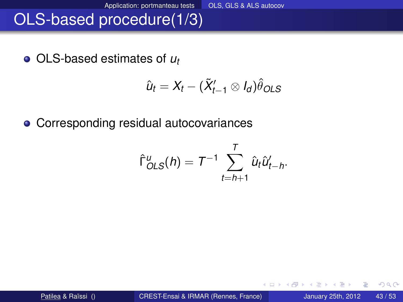# OLS-based procedure(1/3)

OLS-based estimates of *u<sup>t</sup>*

$$
\hat{u}_t = X_t - (\tilde{X}'_{t-1} \otimes I_d)\hat{\theta}_{OLS}
$$

Corresponding residual autocovariances

$$
\hat{\Gamma}^u_{OLS}(h) = T^{-1} \sum_{t=h+1}^T \hat{u}_t \hat{u}'_{t-h}.
$$

 $(1 - 1)$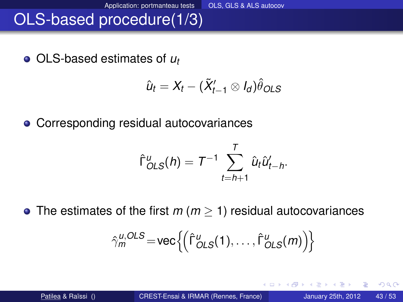# OLS-based procedure(1/3)

OLS-based estimates of *u<sup>t</sup>*

$$
\hat{u}_t = X_t - (\tilde{X}'_{t-1} \otimes I_d)\hat{\theta}_{OLS}
$$

Corresponding residual autocovariances

$$
\hat{\Gamma}_{OLS}^u(h) = T^{-1} \sum_{t=h+1}^T \hat{u}_t \hat{u}_{t-h}^{\prime}.
$$

The estimates of the first *m* (*m* ≥ 1) residual autocovariances

$$
\hat{\gamma}_m^{u,OLS} = \text{vec}\left\{ \left( \hat{\Gamma}_{OLS}^u(1), \ldots, \hat{\Gamma}_{OLS}^u(m) \right) \right\}
$$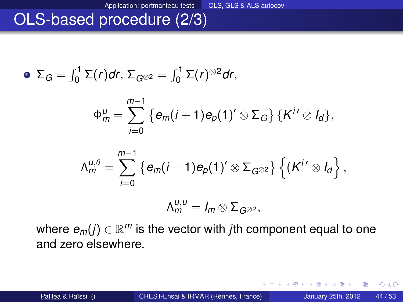# OLS-based procedure (2/3)

$$
\bullet \ \Sigma_G = \int_0^1 \Sigma(r) dr, \ \Sigma_{G^{\otimes 2}} = \int_0^1 \Sigma(r)^{\otimes 2} dr,
$$

$$
\Phi_m^u = \sum_{i=0}^{m-1} \left\{ e_m(i+1) e_p(1)' \otimes \Sigma_G \right\} \left\{ K^{i'} \otimes I_d \right\},\
$$

$$
\Lambda_m^{u,\theta}=\sum_{i=0}^{m-1}\left\{e_m(i+1)e_p(1)'\otimes \Sigma_{G^{\otimes 2}}\right\}\left\{(K^{i'}\otimes I_d\right\},\right\}
$$

$$
\Lambda_m^{u,u}=I_m\otimes \Sigma_{G^{\otimes 2}},
$$

4 0 8

where  $e_m(j) \in \mathbb{R}^m$  is the vector with *j*th component equal to one and zero elsewhere.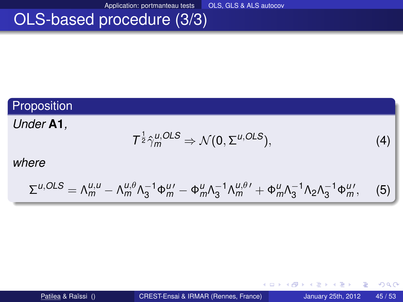Application: portmanteau tests OLS, GLS & ALS autocov

# OLS-based procedure (3/3)

#### Proposition

#### *Under* **A1***,*

$$
T^{\frac{1}{2}}\hat{\gamma}_{m}^{u,OLS}\Rightarrow\mathcal{N}(0,\Sigma^{u,OLS}),\tag{4}
$$

4 0 8

#### *where*

$$
\Sigma^{u,OLS} = \Lambda_m^{u,u} - \Lambda_m^{u,\theta} \Lambda_3^{-1} \Phi_m^{u\prime} - \Phi_m^u \Lambda_3^{-1} \Lambda_m^{u,\theta\prime} + \Phi_m^u \Lambda_3^{-1} \Lambda_2 \Lambda_3^{-1} \Phi_m^{u\prime},\tag{5}
$$

Patilea & Raïssi () [CREST-Ensai & IRMAR \(Rennes, France\)](#page-0-0) January 25th, 2012 45/53

重

 $299$ 

 $\left\{ \left. \left( \mathsf{d} \mathsf{d} \right) \right| \times \left\{ \left( \mathsf{d} \right) \right| \times \left( \mathsf{d} \right) \right\}$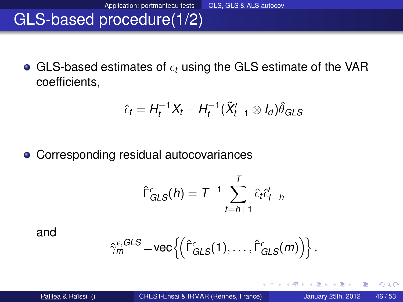# GLS-based procedure(1/2)

 $\bullet$  GLS-based estimates of  $\epsilon_t$  using the GLS estimate of the VAR coefficients,

$$
\hat{\epsilon}_t = H_t^{-1}X_t - H_t^{-1}(\tilde{X}_{t-1}' \otimes I_d)\hat{\theta}_{GLS}
$$

• Corresponding residual autocovariances

$$
\hat{\Gamma}_{GLS}^{\epsilon}(h) = T^{-1} \sum_{t=h+1}^{T} \hat{\epsilon}_t \hat{\epsilon}'_{t-h}
$$

and

$$
\hat{\gamma}_m^{\epsilon, GLS} \!=\! \text{vec}\Big\{\!\!\left(\hat{\Gamma}_{GLS}^{\epsilon}(1),\ldots,\hat{\Gamma}_{GLS}^{\epsilon}(m)\right)\!\!\Big\}\,.
$$

4 0 8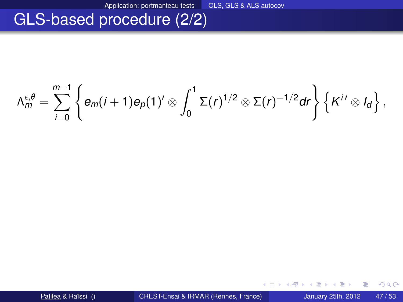## GLS-based procedure (2/2)

$$
\Lambda_m^{\epsilon,\theta}=\sum_{i=0}^{m-1}\left\{e_m(i+1)e_p(1)'\otimes\int_0^1\Sigma(r)^{1/2}\otimes\Sigma(r)^{-1/2}dr\right\}\left\{K^{i\prime}\otimes I_d\right\},\,
$$

4 0 8

活

 $299$ 

⊀ 御 ⊁ ∢ 唐 ⊁ ∢ 唐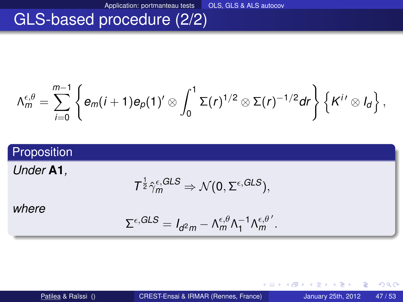# GLS-based procedure (2/2)

$$
\Lambda_m^{\epsilon,\theta}=\sum_{i=0}^{m-1}\left\{e_m(i+1)e_p(1)'\otimes\int_0^1\Sigma(r)^{1/2}\otimes\Sigma(r)^{-1/2}dr\right\}\left\{K^{i\prime}\otimes I_d\right\},\,
$$

#### Proposition

*Under* **A1***,*

$$
T^{\frac{1}{2}}\hat{\gamma}_m^{\epsilon, GLS} \Rightarrow \mathcal{N}(0, \Sigma^{\epsilon, GLS}),
$$

*where*

$$
\Sigma^{\epsilon, GLS} = I_{d^2m} - \Lambda_m^{\epsilon, \theta} \Lambda_1^{-1} \Lambda_m^{\epsilon, \theta'}.
$$

4 0 8

活

 $299$ 

⊀ 御 ⊁ ∢ 唐 ⊁ ∢ 唐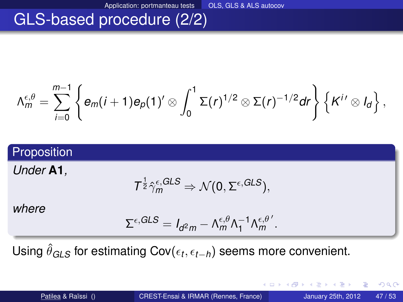# GLS-based procedure (2/2)

$$
\Lambda_m^{\epsilon,\theta}=\sum_{i=0}^{m-1}\left\{e_m(i+1)e_p(1)'\otimes\int_0^1\Sigma(r)^{1/2}\otimes\Sigma(r)^{-1/2}dr\right\}\left\{K^{i\prime}\otimes I_d\right\},\,
$$

#### Proposition

*Under* **A1***,*

$$
\mathcal{T}^{\frac{1}{2}} \hat{\gamma}_m^{\varepsilon, GLS} \Rightarrow \mathcal{N}(0, \Sigma^{\varepsilon, GLS}),
$$

*where*

$$
\Sigma^{\epsilon, GLS} = I_{d^2m} - \Lambda_m^{\epsilon, \theta} \Lambda_1^{-1} \Lambda_m^{\epsilon, \theta'}.
$$

Using  $\hat{\theta}_{GLS}$  for estimating Cov( $\epsilon_t$ , $\epsilon_{t-h}$ ) seems more convenient.

重

 $298$ 

イロト イ押 トイラト イラトー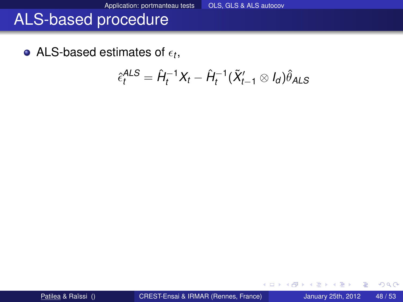ALS-based estimates of  $\epsilon_t$ ,

$$
\hat{\epsilon}_t^{ALS} = \hat{H}_t^{-1}X_t - \hat{H}_t^{-1}(\tilde{X}_{t-1}' \otimes I_d)\hat{\theta}_{ALS}
$$

4 0 8

A F

∋⇒ ∍ 重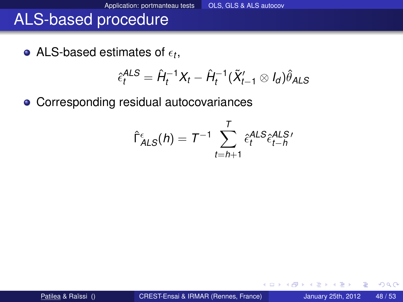ALS-based estimates of  $\epsilon_t$ ,

$$
\hat{\epsilon}_{t}^{ALS} = \hat{H}_t^{-1}X_t - \hat{H}_t^{-1}(\tilde{X}_{t-1}' \otimes I_d)\hat{\theta}_{ALS}
$$

• Corresponding residual autocovariances

$$
\hat{\Gamma}_{ALS}^{\epsilon}(h) = T^{-1} \sum_{t=h+1}^{T} \hat{\epsilon}_t^{ALS} \hat{\epsilon}_{t-h}^{ALS}
$$

 $(1 - 1)$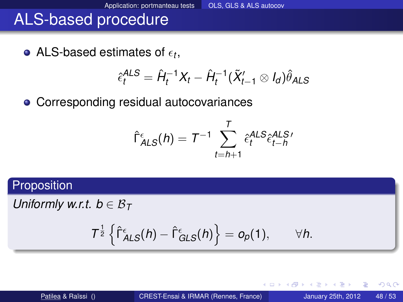ALS-based estimates of  $\epsilon_t$ ,

$$
\hat{\epsilon}_t^{ALS} = \hat{H}_t^{-1}X_t - \hat{H}_t^{-1}(\tilde{X}_{t-1}' \otimes I_d)\hat{\theta}_{ALS}
$$

• Corresponding residual autocovariances

$$
\hat{\Gamma}_{ALS}^{\epsilon}(h) = T^{-1} \sum_{t=h+1}^{T} \hat{\epsilon}_t^{ALS} \hat{\epsilon}_{t-h}^{ALS}
$$

#### Proposition

*Uniformly w.r.t.*  $b \in \mathcal{B}_T$ 

$$
T^{\frac{1}{2}}\left\{\hat{\Gamma}^{\epsilon}_{\text{ALS}}(h)-\hat{\Gamma}^{\epsilon}_{\text{GLS}}(h)\right\}=o_p(1),\qquad \forall h.
$$

4 0 8

4 ଲ ⊧

÷.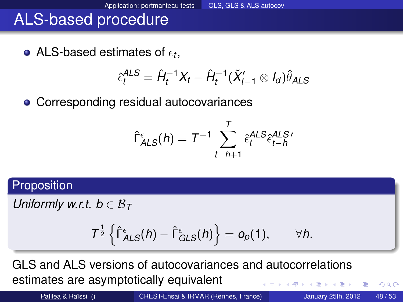ALS-based estimates of  $\epsilon_t$ ,

$$
\hat{\epsilon}_t^{ALS} = \hat{H}_t^{-1}X_t - \hat{H}_t^{-1}(\tilde{X}_{t-1}' \otimes I_d)\hat{\theta}_{ALS}
$$

• Corresponding residual autocovariances

$$
\hat{\Gamma}_{ALS}^{\epsilon}(h) = T^{-1} \sum_{t=h+1}^{T} \hat{\epsilon}_t^{ALS} \hat{\epsilon}_{t-h}^{ALS}
$$

#### Proposition

*Uniformly w.r.t.*  $b \in \mathcal{B}_T$ 

$$
T^{\frac{1}{2}}\left\{\hat{\Gamma}^{\epsilon}_{\text{ALS}}(h)-\hat{\Gamma}^{\epsilon}_{\text{GLS}}(h)\right\}=o_p(1),\qquad \forall h.
$$

GLS and ALS versions of autocovariances and autocorrelations estimates are asymptotically equivalent

Patilea & Raïssi () [CREST-Ensai & IRMAR \(Rennes, France\)](#page-0-0) January 25th, 2012 48/53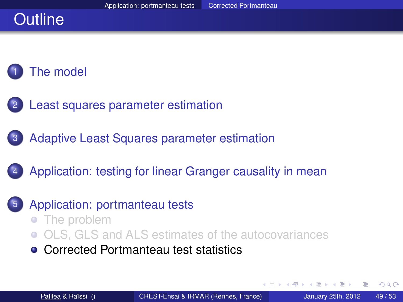# **Outline**

## [The model](#page-6-0)

- [Least squares parameter estimation](#page-15-0)
- [Adaptive Least Squares parameter estimation](#page-30-0)
- [Application: testing for linear Granger causality in mean](#page-48-0)
	- [Application: portmanteau tests](#page-71-0)
		- [The problem](#page-71-0)  $\bullet$
		- [OLS, GLS and ALS estimates of the autocovariances](#page-77-0)
		- **[Corrected Portmanteau test statistics](#page-91-0)**

 $\leftarrow$   $\Box$ 

<span id="page-91-0"></span>**The Second**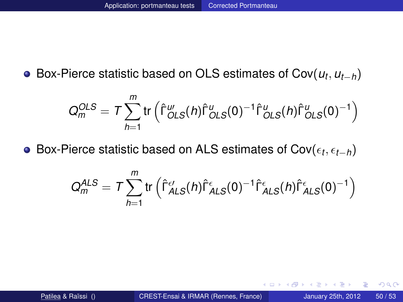Box-Pierce statistic based on OLS estimates of Cov(*u<sup>t</sup>* , *ut*−*h*)

$$
Q_m^{OLS} = T \sum_{h=1}^m \text{tr} \left( \hat{\Gamma}_{OLS}^w(h) \hat{\Gamma}_{OLS}^u(0)^{-1} \hat{\Gamma}_{OLS}^u(h) \hat{\Gamma}_{OLS}^u(0)^{-1} \right)
$$

Box-Pierce statistic based on ALS estimates of Cov(*<sup>t</sup>* , *t*−*h*)

$$
Q_m^{ALS} = T \sum_{h=1}^m \text{tr}\left(\hat{\Gamma}_{ALS}^{\epsilon\prime}(h)\hat{\Gamma}_{ALS}^{\epsilon}(0)^{-1}\hat{\Gamma}_{ALS}^{\epsilon}(h)\hat{\Gamma}_{ALS}^{\epsilon}(0)^{-1}\right)
$$

œ⇒

 $298$ 

4 0 8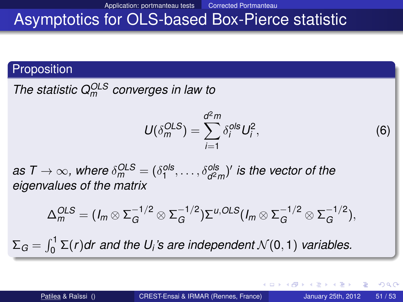Application: portmanteau tests Corrected Portmanteau

## Asymptotics for OLS-based Box-Pierce statistic

#### **Proposition**

*The statistic QOLS <sup>m</sup> converges in law to*

$$
U(\delta_m^{OLS}) = \sum_{i=1}^{d^2 m} \delta_i^{ols} U_i^2,
$$
 (6)

 $a\mathbf{s}\ \mathcal{T}\to\infty$ , where  $\delta_{m}^{OLS}=(\delta_{1}^{ols},\ldots,\delta_{d^{2}m}^{ols})'$  is the vector of the *eigenvalues of the matrix*

$$
\Delta_m^{OLS} = (I_m \otimes \Sigma_G^{-1/2} \otimes \Sigma_G^{-1/2}) \Sigma^{u,OLS} (I_m \otimes \Sigma_G^{-1/2} \otimes \Sigma_G^{-1/2}),
$$

 $\Sigma_G = \int_0^1 \Sigma(r) dr$  and the U<sub>*i*</sub>'s are independent  $\mathcal{N}(0,1)$  variables.

 $298$ 

イロト イ押ト イヨト イヨト ニヨ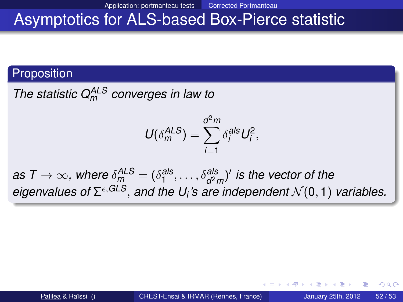Application: portmanteau tests Corrected Portmanteau

#### Asymptotics for ALS-based Box-Pierce statistic

#### **Proposition**

*The statistic QALS <sup>m</sup> converges in law to*

$$
U(\delta_m^{ALS})=\sum_{i=1}^{d^2m}\delta_i^{als}U_i^2,
$$

 $a$ s T  $\to \infty$ , where  $\delta^{\textit{ALS}}_m = (\delta^{\textit{als}}_1, \ldots, \delta^{\textit{als}}_{d^2 m})'$  is the vector of the *eigenvalues of* Σ ,*GLS*, *and the U<sup>i</sup> 's are independent* N (0, 1) *variables.*

4 AD + 4 B + 4 B + + B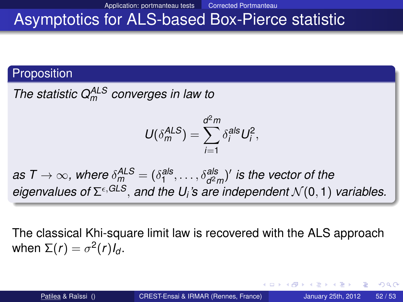# Asymptotics for ALS-based Box-Pierce statistic

#### **Proposition**

*The statistic QALS <sup>m</sup> converges in law to*

$$
U(\delta_m^{ALS})=\sum_{i=1}^{d^2m}\delta_i^{als}U_i^2,
$$

 $a$ s T  $\to \infty$ , where  $\delta^{\textit{ALS}}_m = (\delta^{\textit{als}}_1, \ldots, \delta^{\textit{als}}_{d^2 m})'$  is the vector of the *eigenvalues of* Σ ,*GLS*, *and the U<sup>i</sup> 's are independent* N (0, 1) *variables.*

The classical Khi-square limit law is recovered with the ALS approach when  $\Sigma(r) = \sigma^2(r)I_d$ .

 $\Omega$ 

 $\mathcal{A} \cap \mathcal{B} \rightarrow \mathcal{A} \supseteq \mathcal{B} \rightarrow \mathcal{A} \supseteq \mathcal{B} \rightarrow \mathcal{B} \supseteq \mathcal{B}$